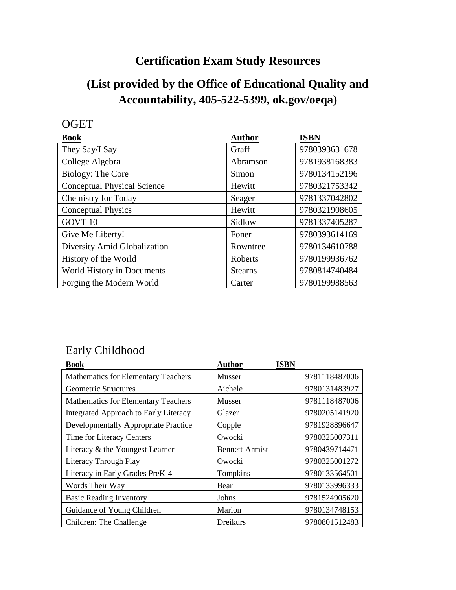# **Certification Exam Study Resources**

# **(List provided by the Office of Educational Quality and Accountability, 405-522-5399, ok.gov/oeqa)**

## OGET

| <b>Book</b>                        | <b>Author</b>  | <b>ISBN</b>   |
|------------------------------------|----------------|---------------|
| They Say/I Say                     | Graff          | 9780393631678 |
| College Algebra                    | Abramson       | 9781938168383 |
| <b>Biology: The Core</b>           | Simon          | 9780134152196 |
| <b>Conceptual Physical Science</b> | Hewitt         | 9780321753342 |
| <b>Chemistry for Today</b>         | Seager         | 9781337042802 |
| <b>Conceptual Physics</b>          | Hewitt         | 9780321908605 |
| GOVT <sub>10</sub>                 | Sidlow         | 9781337405287 |
| Give Me Liberty!                   | Foner          | 9780393614169 |
| Diversity Amid Globalization       | Rowntree       | 9780134610788 |
| History of the World               | Roberts        | 9780199936762 |
| World History in Documents         | <b>Stearns</b> | 9780814740484 |
| Forging the Modern World           | Carter         | 9780199988563 |

## Early Childhood

| <b>Book</b>                                | <b>Author</b>   | <b>ISBN</b>   |
|--------------------------------------------|-----------------|---------------|
| <b>Mathematics for Elementary Teachers</b> | <b>Musser</b>   | 9781118487006 |
| Geometric Structures                       | Aichele         | 9780131483927 |
| <b>Mathematics for Elementary Teachers</b> | <b>Musser</b>   | 9781118487006 |
| Integrated Approach to Early Literacy      | Glazer          | 9780205141920 |
| Developmentally Appropriate Practice       | Copple          | 9781928896647 |
| Time for Literacy Centers                  | Owocki          | 9780325007311 |
| Literacy & the Youngest Learner            | Bennett-Armist  | 9780439714471 |
| Literacy Through Play                      | Owocki          | 9780325001272 |
| Literacy in Early Grades PreK-4            | Tompkins        | 9780133564501 |
| Words Their Way                            | Bear            | 9780133996333 |
| <b>Basic Reading Inventory</b>             | Johns           | 9781524905620 |
| Guidance of Young Children                 | Marion          | 9780134748153 |
| Children: The Challenge                    | <b>Dreikurs</b> | 9780801512483 |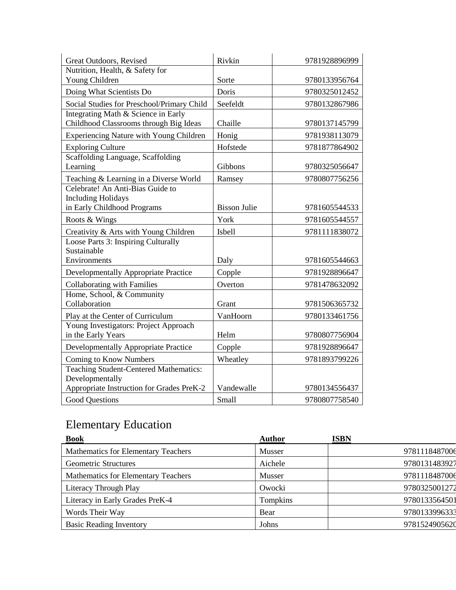| Great Outdoors, Revised                       | Rivkin              | 9781928896999 |
|-----------------------------------------------|---------------------|---------------|
| Nutrition, Health, & Safety for               |                     |               |
| Young Children                                | Sorte               | 9780133956764 |
| Doing What Scientists Do                      | Doris               | 9780325012452 |
| Social Studies for Preschool/Primary Child    | Seefeldt            | 9780132867986 |
| Integrating Math & Science in Early           |                     |               |
| Childhood Classrooms through Big Ideas        | Chaille             | 9780137145799 |
| Experiencing Nature with Young Children       | Honig               | 9781938113079 |
| <b>Exploring Culture</b>                      | Hofstede            | 9781877864902 |
| Scaffolding Language, Scaffolding             |                     |               |
| Learning                                      | Gibbons             | 9780325056647 |
| Teaching & Learning in a Diverse World        | Ramsey              | 9780807756256 |
| Celebrate! An Anti-Bias Guide to              |                     |               |
| <b>Including Holidays</b>                     |                     |               |
| in Early Childhood Programs                   | <b>Bisson Julie</b> | 9781605544533 |
| Roots & Wings                                 | York                | 9781605544557 |
| Creativity & Arts with Young Children         | Isbell              | 9781111838072 |
| Loose Parts 3: Inspiring Culturally           |                     |               |
| Sustainable                                   |                     |               |
| Environments                                  | Daly                | 9781605544663 |
| Developmentally Appropriate Practice          | Copple              | 9781928896647 |
| <b>Collaborating with Families</b>            | Overton             | 9781478632092 |
| Home, School, & Community                     |                     |               |
| Collaboration                                 | Grant               | 9781506365732 |
| Play at the Center of Curriculum              | VanHoorn            | 9780133461756 |
| Young Investigators: Project Approach         |                     |               |
| in the Early Years                            | Helm                | 9780807756904 |
| <b>Developmentally Appropriate Practice</b>   | Copple              | 9781928896647 |
| Coming to Know Numbers                        | Wheatley            | 9781893799226 |
| <b>Teaching Student-Centered Mathematics:</b> |                     |               |
| Developmentally                               |                     |               |
| Appropriate Instruction for Grades PreK-2     | Vandewalle          | 9780134556437 |
| Good Questions                                | Small               | 9780807758540 |

# Elementary Education

| <b>Book</b>                                | <b>Author</b> | <b>ISBN</b>   |
|--------------------------------------------|---------------|---------------|
| <b>Mathematics for Elementary Teachers</b> | Musser        | 9781118487006 |
| Geometric Structures                       | Aichele       | 9780131483927 |
| <b>Mathematics for Elementary Teachers</b> | Musser        | 9781118487006 |
| Literacy Through Play                      | Owocki        | 9780325001272 |
| Literacy in Early Grades PreK-4            | Tompkins      | 9780133564501 |
| Words Their Way                            | Bear          | 9780133996333 |
| <b>Basic Reading Inventory</b>             | Johns         | 9781524905620 |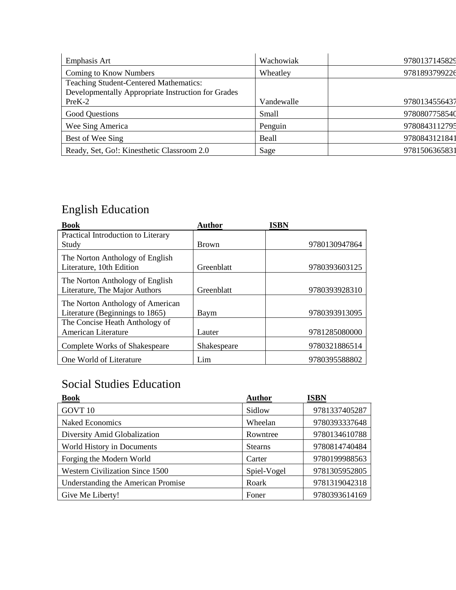| Emphasis Art                                       | Wachowiak    | 9780137145829 |
|----------------------------------------------------|--------------|---------------|
| Coming to Know Numbers                             | Wheatley     | 9781893799226 |
| <b>Teaching Student-Centered Mathematics:</b>      |              |               |
| Developmentally Appropriate Instruction for Grades |              |               |
| $PreK-2$                                           | Vandewalle   | 9780134556437 |
| Good Questions                                     | Small        | 9780807758540 |
| Wee Sing America                                   | Penguin      | 9780843112795 |
| Best of Wee Sing                                   | <b>Beall</b> | 9780843121841 |
| Ready, Set, Go!: Kinesthetic Classroom 2.0         | Sage         | 9781506365831 |

# English Education

| <b>Book</b>                                                      | <b>Author</b> | <b>ISBN</b>   |
|------------------------------------------------------------------|---------------|---------------|
| Practical Introduction to Literary                               |               |               |
| Study                                                            | <b>Brown</b>  | 9780130947864 |
| The Norton Anthology of English                                  | Greenblatt    | 9780393603125 |
| Literature, 10th Edition                                         |               |               |
| The Norton Anthology of English<br>Literature, The Major Authors | Greenblatt    | 9780393928310 |
|                                                                  |               |               |
| The Norton Anthology of American                                 |               |               |
| Literature (Beginnings to 1865)                                  | Baym          | 9780393913095 |
| The Concise Heath Anthology of                                   |               |               |
| <b>American Literature</b>                                       | Lauter        | 9781285080000 |
| Complete Works of Shakespeare                                    | Shakespeare   | 9780321886514 |
| One World of Literature                                          | Lim           | 9780395588802 |

# Social Studies Education

| Book                               | <b>Author</b>  | <b>ISBN</b>   |
|------------------------------------|----------------|---------------|
| GOVT <sub>10</sub>                 | Sidlow         | 9781337405287 |
| <b>Naked Economics</b>             | Wheelan        | 9780393337648 |
| Diversity Amid Globalization       | Rowntree       | 9780134610788 |
| World History in Documents         | <b>Stearns</b> | 9780814740484 |
| Forging the Modern World           | Carter         | 9780199988563 |
| Western Civilization Since 1500    | Spiel-Vogel    | 9781305952805 |
| Understanding the American Promise | Roark          | 9781319042318 |
| Give Me Liberty!                   | Foner          | 9780393614169 |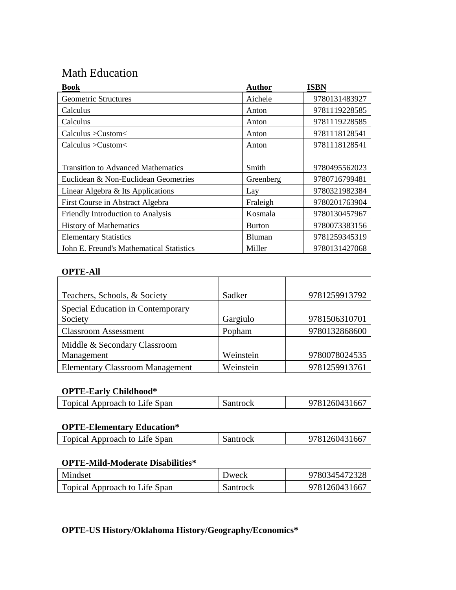## Math Education

| <b>Book</b>                               | <b>Author</b> | <b>ISBN</b>   |
|-------------------------------------------|---------------|---------------|
| <b>Geometric Structures</b>               | Aichele       | 9780131483927 |
| Calculus                                  | Anton         | 9781119228585 |
| Calculus                                  | Anton         | 9781119228585 |
| Calculus $>$ Custom $<$                   | Anton         | 9781118128541 |
| Calculus $>$ Custom $<$                   | Anton         | 9781118128541 |
|                                           |               |               |
| <b>Transition to Advanced Mathematics</b> | Smith         | 9780495562023 |
| Euclidean & Non-Euclidean Geometries      | Greenberg     | 9780716799481 |
| Linear Algebra $\&$ Its Applications      | Lay           | 9780321982384 |
| First Course in Abstract Algebra          | Fraleigh      | 9780201763904 |
| Friendly Introduction to Analysis         | Kosmala       | 9780130457967 |
| <b>History of Mathematics</b>             | <b>Burton</b> | 9780073383156 |
| <b>Elementary Statistics</b>              | <b>Bluman</b> | 9781259345319 |
| John E. Freund's Mathematical Statistics  | Miller        | 9780131427068 |

#### **OPTE-All**

| Teachers, Schools, & Society           | Sadker    | 9781259913792 |
|----------------------------------------|-----------|---------------|
| Special Education in Contemporary      |           |               |
| Society                                | Gargiulo  | 9781506310701 |
| <b>Classroom Assessment</b>            | Popham    | 9780132868600 |
| Middle & Secondary Classroom           |           |               |
| Management                             | Weinstein | 9780078024535 |
| <b>Elementary Classroom Management</b> | Weinstein | 9781259913761 |

### **OPTE-Early Childhood\***

| Topical Approach to Life Span | Santrock | 9781260431667 |
|-------------------------------|----------|---------------|
|                               |          |               |

## **OPTE-Elementary Education\***

| Topical Approach to Life Span | Santrock | 9781260431667 |
|-------------------------------|----------|---------------|
|                               |          |               |

#### **OPTE-Mild-Moderate Disabilities\***

| Mindset                       | Dweck    | 9780345472328 |
|-------------------------------|----------|---------------|
| Topical Approach to Life Span | Santrock | 9781260431667 |

**OPTE-US History/Oklahoma History/Geography/Economics\***